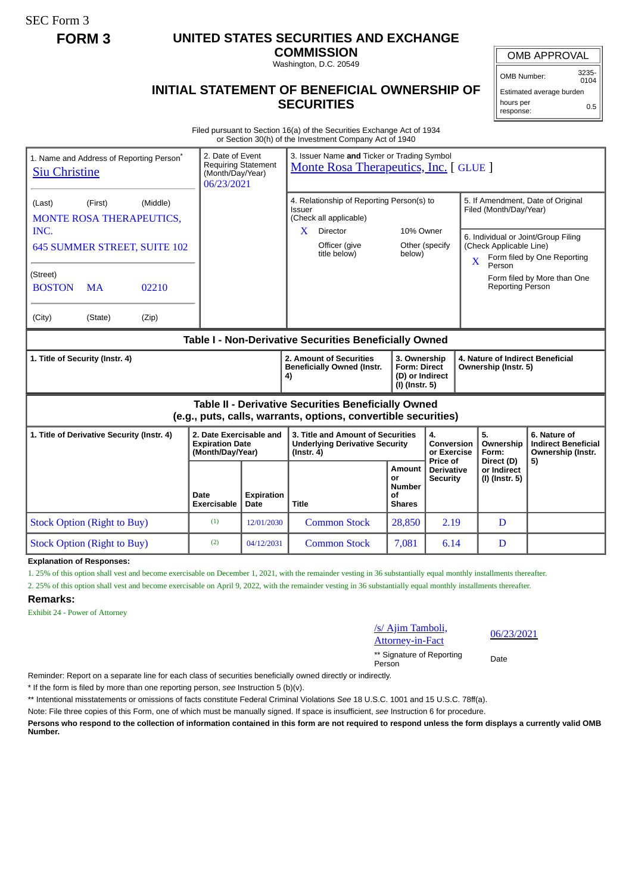SEC Form 3

# **FORM 3 UNITED STATES SECURITIES AND EXCHANGE**

**COMMISSION** Washington, D.C. 20549

## **INITIAL STATEMENT OF BENEFICIAL OWNERSHIP OF SECURITIES**

OMB APPROVAL

OMB Number: 3235- 0104

Estimated average burden hours per response: 0.5

Filed pursuant to Section 16(a) of the Securities Exchange Act of 1934 or Section 30(h) of the Investment Company Act of 1940

| 1. Name and Address of Reporting Person <sup>®</sup><br><b>Siu Christine</b>                                          |                     | 3. Issuer Name and Ticker or Trading Symbol<br>2. Date of Event<br><b>Requiring Statement</b><br>Monte Rosa Therapeutics, Inc. [ GLUE ]<br>(Month/Day/Year)<br>06/23/2021 |                                                                                                              |                                                                          |                                                  |                                                                                                    |                                                                 |  |
|-----------------------------------------------------------------------------------------------------------------------|---------------------|---------------------------------------------------------------------------------------------------------------------------------------------------------------------------|--------------------------------------------------------------------------------------------------------------|--------------------------------------------------------------------------|--------------------------------------------------|----------------------------------------------------------------------------------------------------|-----------------------------------------------------------------|--|
| (Middle)<br>(First)<br>(Last)<br><b>MONTE ROSA THERAPEUTICS,</b><br>INC.                                              |                     |                                                                                                                                                                           | 4. Relationship of Reporting Person(s) to<br>Issuer<br>(Check all applicable)<br>Director<br>10% Owner<br>X. |                                                                          |                                                  | 5. If Amendment, Date of Original<br>Filed (Month/Day/Year)<br>6. Individual or Joint/Group Filing |                                                                 |  |
| 645 SUMMER STREET, SUITE 102                                                                                          |                     |                                                                                                                                                                           | Officer (give<br>title below)                                                                                | below)                                                                   | Other (specify                                   | (Check Applicable Line)<br>Form filed by One Reporting<br>$\overline{X}$<br>Person                 |                                                                 |  |
| (Street)<br>02210<br><b>BOSTON</b><br><b>MA</b>                                                                       |                     |                                                                                                                                                                           |                                                                                                              |                                                                          |                                                  | <b>Reporting Person</b>                                                                            | Form filed by More than One                                     |  |
| (City)<br>(State)<br>(Zip)                                                                                            |                     |                                                                                                                                                                           |                                                                                                              |                                                                          |                                                  |                                                                                                    |                                                                 |  |
| Table I - Non-Derivative Securities Beneficially Owned                                                                |                     |                                                                                                                                                                           |                                                                                                              |                                                                          |                                                  |                                                                                                    |                                                                 |  |
| 1. Title of Security (Instr. 4)                                                                                       |                     |                                                                                                                                                                           | 2. Amount of Securities<br><b>Beneficially Owned (Instr.</b><br>4)                                           | 3. Ownership<br><b>Form: Direct</b><br>(D) or Indirect<br>(I) (Instr. 5) |                                                  | 4. Nature of Indirect Beneficial<br>Ownership (Instr. 5)                                           |                                                                 |  |
| Table II - Derivative Securities Beneficially Owned<br>(e.g., puts, calls, warrants, options, convertible securities) |                     |                                                                                                                                                                           |                                                                                                              |                                                                          |                                                  |                                                                                                    |                                                                 |  |
| 2. Date Exercisable and<br>1. Title of Derivative Security (Instr. 4)<br><b>Expiration Date</b><br>(Month/Day/Year)   |                     |                                                                                                                                                                           | 3. Title and Amount of Securities<br><b>Underlying Derivative Security</b><br>$($ Instr. 4 $)$               | 4.<br><b>Conversion</b><br>or Exercise                                   |                                                  | 5.<br>Ownership<br>Form:                                                                           | 6. Nature of<br><b>Indirect Beneficial</b><br>Ownership (Instr. |  |
|                                                                                                                       | Date<br>Exercisable | <b>Expiration</b><br>Date                                                                                                                                                 | <b>Title</b>                                                                                                 | Amount<br>or<br><b>Number</b><br>Οf<br><b>Shares</b>                     | Price of<br><b>Derivative</b><br><b>Security</b> | Direct (D)<br>or Indirect<br>(I) (Instr. 5)                                                        | 5)                                                              |  |
| <b>Stock Option (Right to Buy)</b>                                                                                    | (1)                 | 12/01/2030                                                                                                                                                                | <b>Common Stock</b>                                                                                          | 28,850                                                                   | 2.19                                             | D                                                                                                  |                                                                 |  |
| <b>Stock Option (Right to Buy)</b>                                                                                    | (2)                 | 04/12/2031                                                                                                                                                                | <b>Common Stock</b>                                                                                          | 7,081                                                                    | 6.14                                             | D                                                                                                  |                                                                 |  |

**Explanation of Responses:**

1. 25% of this option shall vest and become exercisable on December 1, 2021, with the remainder vesting in 36 substantially equal monthly installments thereafter.

2. 25% of this option shall vest and become exercisable on April 9, 2022, with the remainder vesting in 36 substantially equal monthly installments thereafter.

### **Remarks:**

Exhibit 24 - Power of Attorney

#### /s/ Ajim Tamboli,  $\frac{S}{\text{Attonney-in-Fact}}$  06/23/2021

\*\* Signature of Reporting Person Date

Reminder: Report on a separate line for each class of securities beneficially owned directly or indirectly.

\* If the form is filed by more than one reporting person, *see* Instruction 5 (b)(v).

\*\* Intentional misstatements or omissions of facts constitute Federal Criminal Violations *See* 18 U.S.C. 1001 and 15 U.S.C. 78ff(a).

Note: File three copies of this Form, one of which must be manually signed. If space is insufficient, *see* Instruction 6 for procedure.

**Persons who respond to the collection of information contained in this form are not required to respond unless the form displays a currently valid OMB Number.**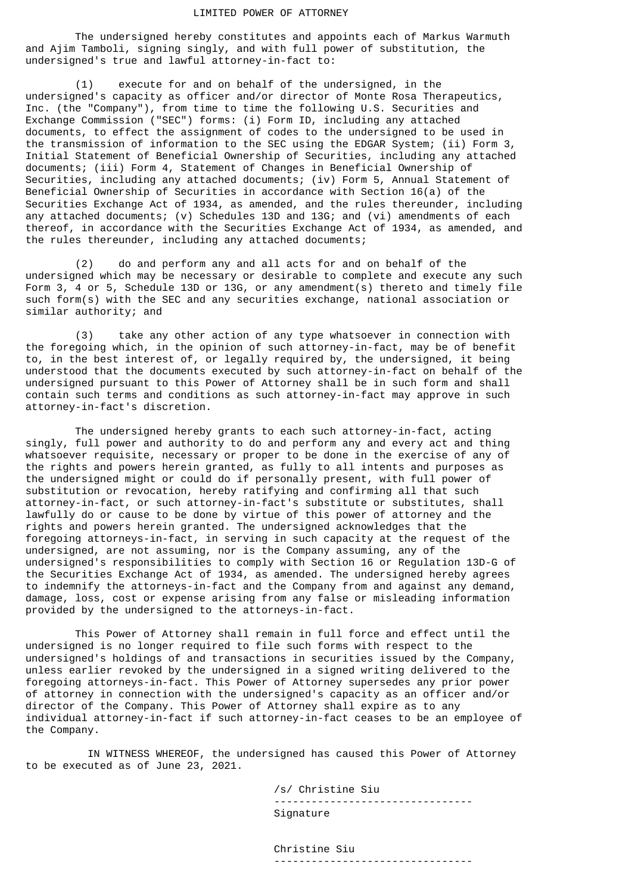#### LIMITED POWER OF ATTORNEY

 The undersigned hereby constitutes and appoints each of Markus Warmuth and Ajim Tamboli, signing singly, and with full power of substitution, the undersigned's true and lawful attorney-in-fact to:

 (1) execute for and on behalf of the undersigned, in the undersigned's capacity as officer and/or director of Monte Rosa Therapeutics, Inc. (the "Company"), from time to time the following U.S. Securities and Exchange Commission ("SEC") forms: (i) Form ID, including any attached documents, to effect the assignment of codes to the undersigned to be used in the transmission of information to the SEC using the EDGAR System; (ii) Form 3, Initial Statement of Beneficial Ownership of Securities, including any attached documents; (iii) Form 4, Statement of Changes in Beneficial Ownership of Securities, including any attached documents; (iv) Form 5, Annual Statement of Beneficial Ownership of Securities in accordance with Section 16(a) of the Securities Exchange Act of 1934, as amended, and the rules thereunder, including any attached documents; (v) Schedules 13D and 13G; and (vi) amendments of each thereof, in accordance with the Securities Exchange Act of 1934, as amended, and the rules thereunder, including any attached documents;

 (2) do and perform any and all acts for and on behalf of the undersigned which may be necessary or desirable to complete and execute any such Form 3, 4 or 5, Schedule 13D or 13G, or any amendment(s) thereto and timely file such form(s) with the SEC and any securities exchange, national association or similar authority; and

 (3) take any other action of any type whatsoever in connection with the foregoing which, in the opinion of such attorney-in-fact, may be of benefit to, in the best interest of, or legally required by, the undersigned, it being understood that the documents executed by such attorney-in-fact on behalf of the undersigned pursuant to this Power of Attorney shall be in such form and shall contain such terms and conditions as such attorney-in-fact may approve in such attorney-in-fact's discretion.

 The undersigned hereby grants to each such attorney-in-fact, acting singly, full power and authority to do and perform any and every act and thing whatsoever requisite, necessary or proper to be done in the exercise of any of the rights and powers herein granted, as fully to all intents and purposes as the undersigned might or could do if personally present, with full power of substitution or revocation, hereby ratifying and confirming all that such attorney-in-fact, or such attorney-in-fact's substitute or substitutes, shall lawfully do or cause to be done by virtue of this power of attorney and the rights and powers herein granted. The undersigned acknowledges that the foregoing attorneys-in-fact, in serving in such capacity at the request of the undersigned, are not assuming, nor is the Company assuming, any of the undersigned's responsibilities to comply with Section 16 or Regulation 13D-G of the Securities Exchange Act of 1934, as amended. The undersigned hereby agrees to indemnify the attorneys-in-fact and the Company from and against any demand, damage, loss, cost or expense arising from any false or misleading information provided by the undersigned to the attorneys-in-fact.

 This Power of Attorney shall remain in full force and effect until the undersigned is no longer required to file such forms with respect to the undersigned's holdings of and transactions in securities issued by the Company, unless earlier revoked by the undersigned in a signed writing delivered to the foregoing attorneys-in-fact. This Power of Attorney supersedes any prior power of attorney in connection with the undersigned's capacity as an officer and/or director of the Company. This Power of Attorney shall expire as to any individual attorney-in-fact if such attorney-in-fact ceases to be an employee of the Company.

 IN WITNESS WHEREOF, the undersigned has caused this Power of Attorney to be executed as of June 23, 2021.

> /s/ Christine Siu -------------------------------- Signature

> Christine Siu --------------------------------